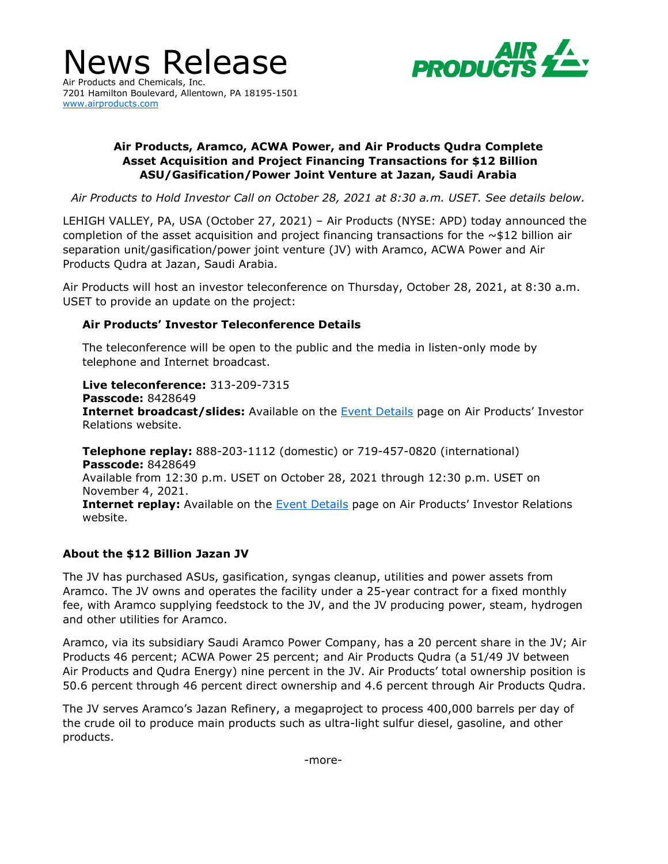

News Release 7201 Hamilton Boulevard, Allentown, PA 18195-1501 [www.airproducts.com](http://www.airproducts.com/)

# **Air Products, Aramco, ACWA Power, and Air Products Qudra Complete Asset Acquisition and Project Financing Transactions for \$12 Billion ASU/Gasification/Power Joint Venture at Jazan, Saudi Arabia**

*Air Products to Hold Investor Call on October 28, 2021 at 8:30 a.m. USET. See details below.*

LEHIGH VALLEY, PA, USA (October 27, 2021) – Air Products (NYSE: APD) today announced the completion of the asset acquisition and project financing transactions for the  $\sim$ \$12 billion air separation unit/gasification/power joint venture (JV) with Aramco, ACWA Power and Air Products Qudra at Jazan, Saudi Arabia.

Air Products will host an investor teleconference on Thursday, October 28, 2021, at 8:30 a.m. USET to provide an update on the project:

# **Air Products' Investor Teleconference Details**

The teleconference will be open to the public and the media in listen-only mode by telephone and Internet broadcast.

**Live teleconference:** 313-209-7315 **Passcode:** 8428649 **Internet broadcast/slides:** Available on the [Event Details](https://investors.airproducts.com/events/event-details/air-products-conference-call-0) page on Air Products' Investor Relations website.

**Telephone replay:** 888-203-1112 (domestic) or 719-457-0820 (international) **Passcode:** 8428649 Available from 12:30 p.m. USET on October 28, 2021 through 12:30 p.m. USET on November 4, 2021. **Internet replay:** Available on the **[Event Details](https://investors.airproducts.com/events/event-details/air-products-conference-call-0) page on Air Products' Investor Relations** website.

### **About the \$12 Billion Jazan JV**

The JV has purchased ASUs, gasification, syngas cleanup, utilities and power assets from Aramco. The JV owns and operates the facility under a 25-year contract for a fixed monthly fee, with Aramco supplying feedstock to the JV, and the JV producing power, steam, hydrogen and other utilities for Aramco.

Aramco, via its subsidiary Saudi Aramco Power Company, has a 20 percent share in the JV; Air Products 46 percent; ACWA Power 25 percent; and Air Products Qudra (a 51/49 JV between Air Products and Qudra Energy) nine percent in the JV. Air Products' total ownership position is 50.6 percent through 46 percent direct ownership and 4.6 percent through Air Products Qudra.

The JV serves Aramco's Jazan Refinery, a megaproject to process 400,000 barrels per day of the crude oil to produce main products such as ultra-light sulfur diesel, gasoline, and other products.